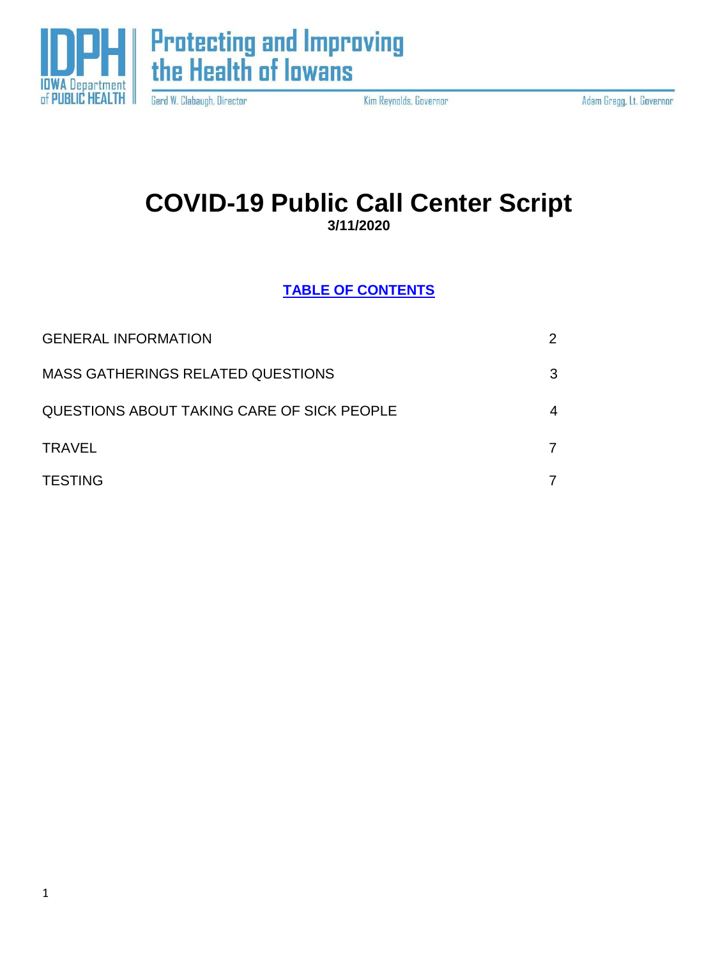

**Protecting and Improving<br>the Health of lowans** 

Gerd W. Clabaugh, Director

Kim Reynolds, Governor

Adam Gregg, Lt. Governor

## **COVID-19 Public Call Center Script 3/11/2020**

**TABLE OF CONTENTS**

| <b>GENERAL INFORMATION</b>                 | $\overline{2}$ |
|--------------------------------------------|----------------|
| <b>MASS GATHERINGS RELATED QUESTIONS</b>   | 3              |
| QUESTIONS ABOUT TAKING CARE OF SICK PEOPLE | 4              |
| <b>TRAVEL</b>                              |                |
| <b>TESTING</b>                             |                |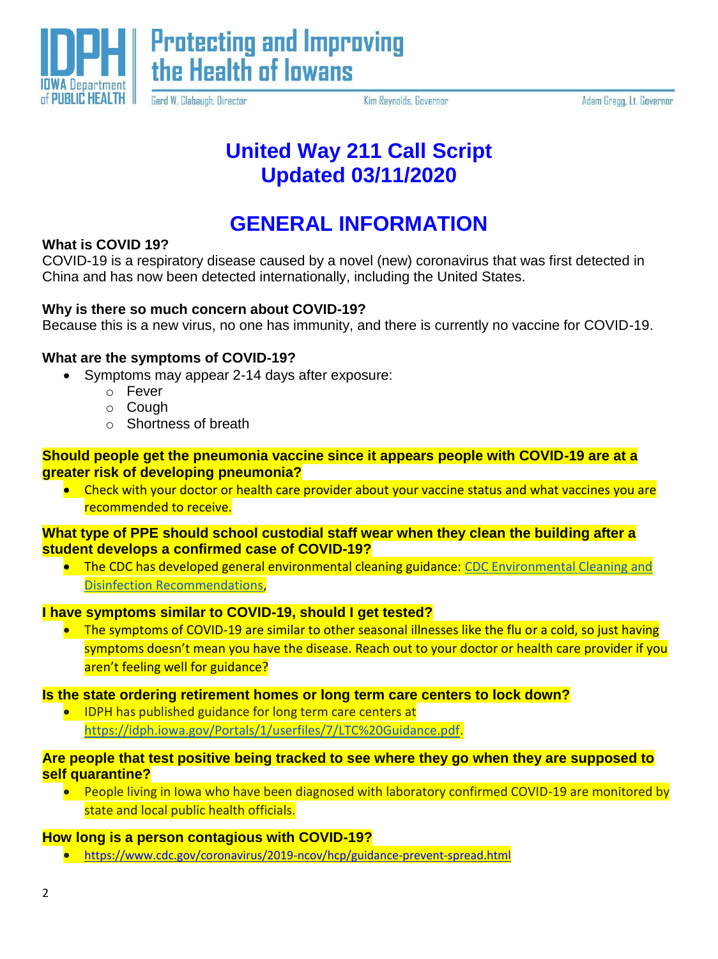

Gerd W. Clabaugh, Director

Kim Reynolds, Governor

Adam Gregg, Lt. Governor

## **United Way 211 Call Script Updated 03/11/2020**

## **GENERAL INFORMATION**

## **What is COVID 19?**

COVID-19 is a respiratory disease caused by a novel (new) coronavirus that was first detected in China and has now been detected internationally, including the United States.

## **Why is there so much concern about COVID-19?**

Because this is a new virus, no one has immunity, and there is currently no vaccine for COVID-19.

## **What are the symptoms of COVID-19?**

- Symptoms may appear 2-14 days after exposure:
	- o Fever
		- o Cough
		- o Shortness of breath

#### **Should people get the pneumonia vaccine since it appears people with COVID-19 are at a greater risk of developing pneumonia?**

• Check with your doctor or health care provider about your vaccine status and what vaccines you are recommended to receive.

## **What type of PPE should school custodial staff wear when they clean the building after a student develops a confirmed case of COVID-19?**

• The CDC has developed general environmental cleaning guidance: CDC Environmental Cleaning and [Disinfection Recommendations,](https://www.cdc.gov/coronavirus/2019-ncov/community/organizations/cleaning-disinfection.html)

## **I have symptoms similar to COVID-19, should I get tested?**

• The symptoms of COVID-19 are similar to other seasonal illnesses like the flu or a cold, so just having symptoms doesn't mean you have the disease. Reach out to your doctor or health care provider if you aren't feeling well for guidance?

## **Is the state ordering retirement homes or long term care centers to lock down?**

• IDPH has published guidance for long term care centers at [https://idph.iowa.gov/Portals/1/userfiles/7/LTC%20Guidance.pdf.](https://idph.iowa.gov/Portals/1/userfiles/7/LTC%20Guidance.pdf)

#### **Are people that test positive being tracked to see where they go when they are supposed to self quarantine?**

• People living in Iowa who have been diagnosed with laboratory confirmed COVID-19 are monitored by state and local public health officials.

## **How long is a person contagious with COVID-19?**

<https://www.cdc.gov/coronavirus/2019-ncov/hcp/guidance-prevent-spread.html>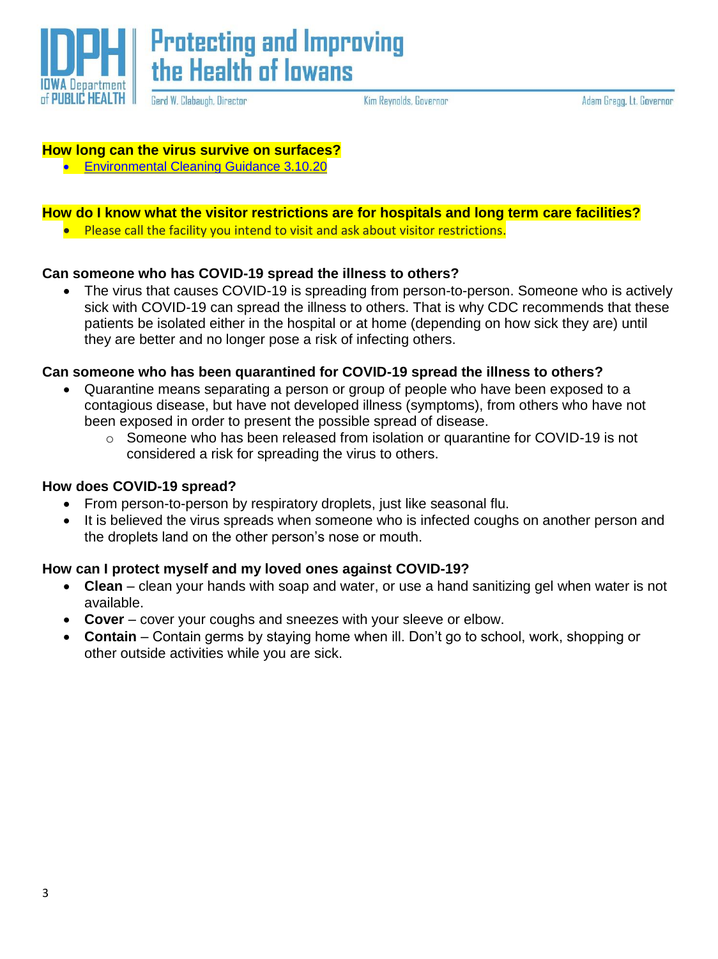

**Protecting and Improving** the Health of lowans

Gerd W. Clabaugh, Director

Kim Reynolds, Governor

Adam Gregg, Lt. Governor

#### **How long can the virus survive on surfaces?**

**[Environmental Cleaning Guidance 3.10.20](https://idph.iowa.gov/Portals/1/userfiles/61/COVID-19_Environmental_Cleaning_Guidance3_10_20%20%281%29.pdf)** 

## **How do I know what the visitor restrictions are for hospitals and long term care facilities?**

Please call the facility you intend to visit and ask about visitor restrictions.

#### **Can someone who has COVID-19 spread the illness to others?**

 The virus that causes COVID-19 is spreading from person-to-person. Someone who is actively sick with COVID-19 can spread the illness to others. That is why CDC recommends that these patients be isolated either in the hospital or at home (depending on how sick they are) until they are better and no longer pose a risk of infecting others.

## **Can someone who has been quarantined for COVID-19 spread the illness to others?**

- Quarantine means separating a person or group of people who have been exposed to a contagious disease, but have not developed illness (symptoms), from others who have not been exposed in order to present the possible spread of disease.
	- o Someone who has been released from isolation or quarantine for COVID-19 is not considered a risk for spreading the virus to others.

#### **How does COVID-19 spread?**

- From person-to-person by respiratory droplets, just like seasonal flu.
- It is believed the virus spreads when someone who is infected coughs on another person and the droplets land on the other person's nose or mouth.

## **How can I protect myself and my loved ones against COVID-19?**

- **Clean**  clean your hands with soap and water, or use a hand sanitizing gel when water is not available.
- **Cover**  cover your coughs and sneezes with your sleeve or elbow.
- **Contain**  Contain germs by staying home when ill. Don't go to school, work, shopping or other outside activities while you are sick.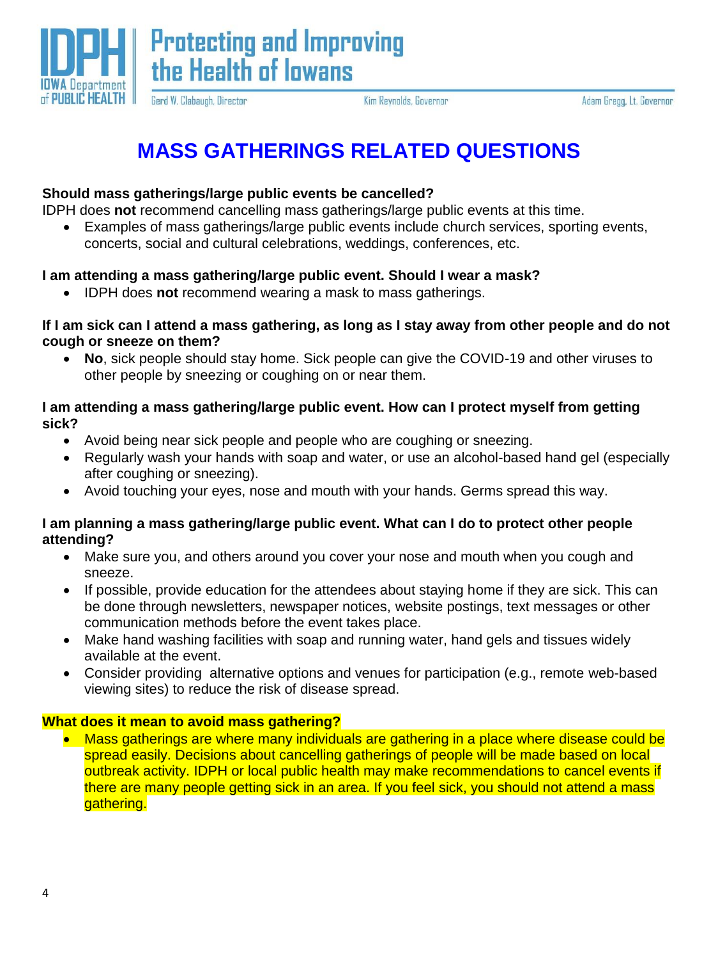

**Protecting and Improving** the Health of lowans

Adam Gregg, Lt. Governor

# **MASS GATHERINGS RELATED QUESTIONS**

Kim Reynolds, Governor

#### **Should mass gatherings/large public events be cancelled?**

Gerd W. Clabaugh, Director

IDPH does **not** recommend cancelling mass gatherings/large public events at this time.

 Examples of mass gatherings/large public events include church services, sporting events, concerts, social and cultural celebrations, weddings, conferences, etc.

#### **I am attending a mass gathering/large public event. Should I wear a mask?**

IDPH does **not** recommend wearing a mask to mass gatherings.

#### **If I am sick can I attend a mass gathering, as long as I stay away from other people and do not cough or sneeze on them?**

 **No**, sick people should stay home. Sick people can give the COVID-19 and other viruses to other people by sneezing or coughing on or near them.

#### **I am attending a mass gathering/large public event. How can I protect myself from getting sick?**

- Avoid being near sick people and people who are coughing or sneezing.
- Regularly wash your hands with soap and water, or use an alcohol-based hand gel (especially after coughing or sneezing).
- Avoid touching your eyes, nose and mouth with your hands. Germs spread this way.

#### **I am planning a mass gathering/large public event. What can I do to protect other people attending?**

- Make sure you, and others around you cover your nose and mouth when you cough and sneeze.
- If possible, provide education for the attendees about staying home if they are sick. This can be done through newsletters, newspaper notices, website postings, text messages or other communication methods before the event takes place.
- Make hand washing facilities with soap and running water, hand gels and tissues widely available at the event.
- Consider providing alternative options and venues for participation (e.g., remote web-based viewing sites) to reduce the risk of disease spread.

## **What does it mean to avoid mass gathering?**

• Mass gatherings are where many individuals are gathering in a place where disease could be spread easily. Decisions about cancelling gatherings of people will be made based on local outbreak activity. IDPH or local public health may make recommendations to cancel events if there are many people getting sick in an area. If you feel sick, you should not attend a mass gathering.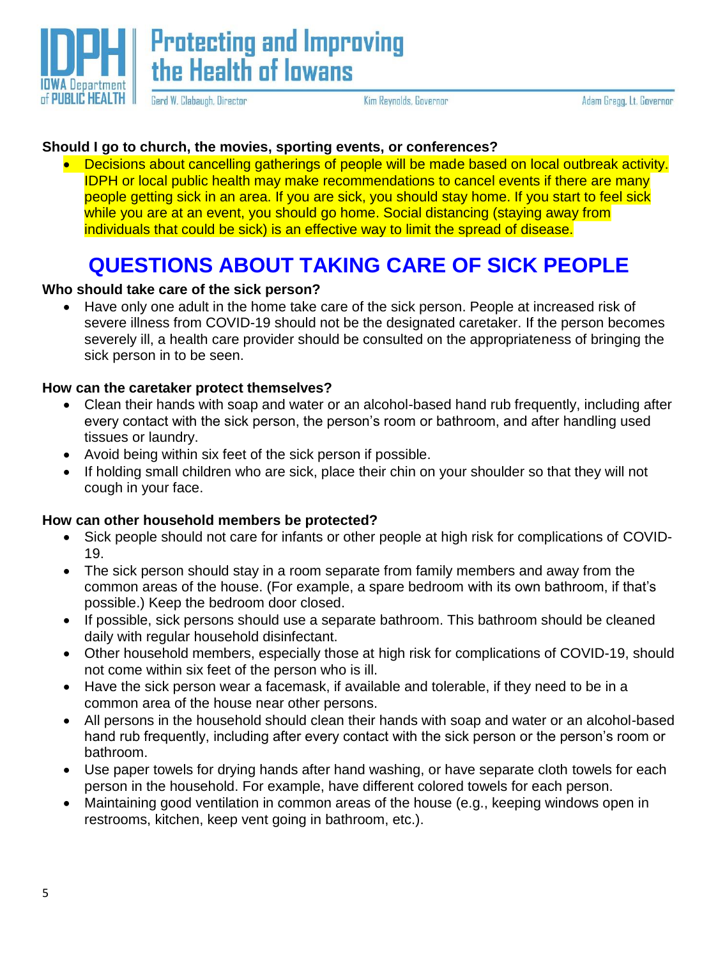

**Protecting and Improving** the Health of lowans

Gerd W. Clabaugh, Director

Kim Reynolds, Governor

Adam Gregg, Lt. Governor

## **Should I go to church, the movies, sporting events, or conferences?**

• Decisions about cancelling gatherings of people will be made based on local outbreak activity. IDPH or local public health may make recommendations to cancel events if there are many people getting sick in an area. If you are sick, you should stay home. If you start to feel sick while you are at an event, you should go home. Social distancing (staying away from individuals that could be sick) is an effective way to limit the spread of disease.

# **QUESTIONS ABOUT TAKING CARE OF SICK PEOPLE**

## **Who should take care of the sick person?**

 Have only one adult in the home take care of the sick person. People at increased risk of severe illness from COVID-19 should not be the designated caretaker. If the person becomes severely ill, a health care provider should be consulted on the appropriateness of bringing the sick person in to be seen.

## **How can the caretaker protect themselves?**

- Clean their hands with soap and water or an alcohol-based hand rub frequently, including after every contact with the sick person, the person's room or bathroom, and after handling used tissues or laundry.
- Avoid being within six feet of the sick person if possible.
- If holding small children who are sick, place their chin on your shoulder so that they will not cough in your face.

## **How can other household members be protected?**

- Sick people should not care for infants or other people at high risk for complications of COVID-19.
- The sick person should stay in a room separate from family members and away from the common areas of the house. (For example, a spare bedroom with its own bathroom, if that's possible.) Keep the bedroom door closed.
- If possible, sick persons should use a separate bathroom. This bathroom should be cleaned daily with regular household disinfectant.
- Other household members, especially those at high risk for complications of COVID-19, should not come within six feet of the person who is ill.
- Have the sick person wear a facemask, if available and tolerable, if they need to be in a common area of the house near other persons.
- All persons in the household should clean their hands with soap and water or an alcohol-based hand rub frequently, including after every contact with the sick person or the person's room or bathroom.
- Use paper towels for drying hands after hand washing, or have separate cloth towels for each person in the household. For example, have different colored towels for each person.
- Maintaining good ventilation in common areas of the house (e.g., keeping windows open in restrooms, kitchen, keep vent going in bathroom, etc.).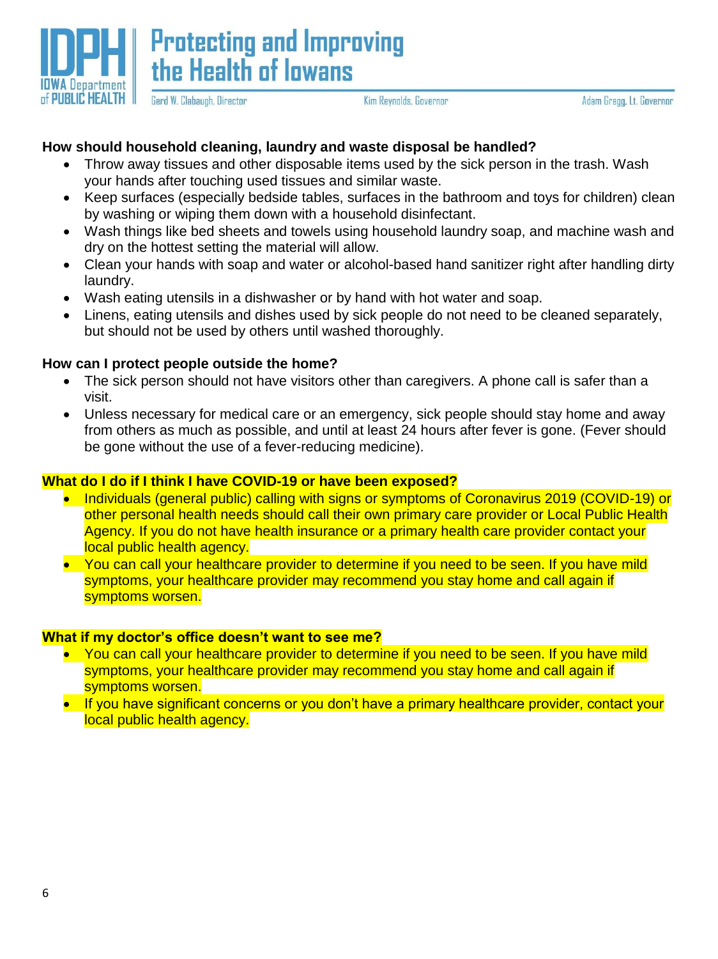

Kim Reynolds, Governor

## **How should household cleaning, laundry and waste disposal be handled?**

- Throw away tissues and other disposable items used by the sick person in the trash. Wash your hands after touching used tissues and similar waste.
- Keep surfaces (especially bedside tables, surfaces in the bathroom and toys for children) clean by washing or wiping them down with a household disinfectant.
- Wash things like bed sheets and towels using household laundry soap, and machine wash and dry on the hottest setting the material will allow.
- Clean your hands with soap and water or alcohol-based hand sanitizer right after handling dirty laundry.
- Wash eating utensils in a dishwasher or by hand with hot water and soap.
- Linens, eating utensils and dishes used by sick people do not need to be cleaned separately, but should not be used by others until washed thoroughly.

#### **How can I protect people outside the home?**

- The sick person should not have visitors other than caregivers. A phone call is safer than a visit.
- Unless necessary for medical care or an emergency, sick people should stay home and away from others as much as possible, and until at least 24 hours after fever is gone. (Fever should be gone without the use of a fever-reducing medicine).

#### **What do I do if I think I have COVID-19 or have been exposed?**

- Individuals (general public) calling with signs or symptoms of Coronavirus 2019 (COVID-19) or other personal health needs should call their own primary care provider or Local Public Health Agency. If you do not have health insurance or a primary health care provider contact your local public health agency.
- You can call your healthcare provider to determine if you need to be seen. If you have mild symptoms, your healthcare provider may recommend you stay home and call again if symptoms worsen.

#### **What if my doctor's office doesn't want to see me?**

- You can call your healthcare provider to determine if you need to be seen. If you have mild symptoms, your healthcare provider may recommend you stay home and call again if symptoms worsen.
- If you have significant concerns or you don't have a primary healthcare provider, contact your local public health agency.